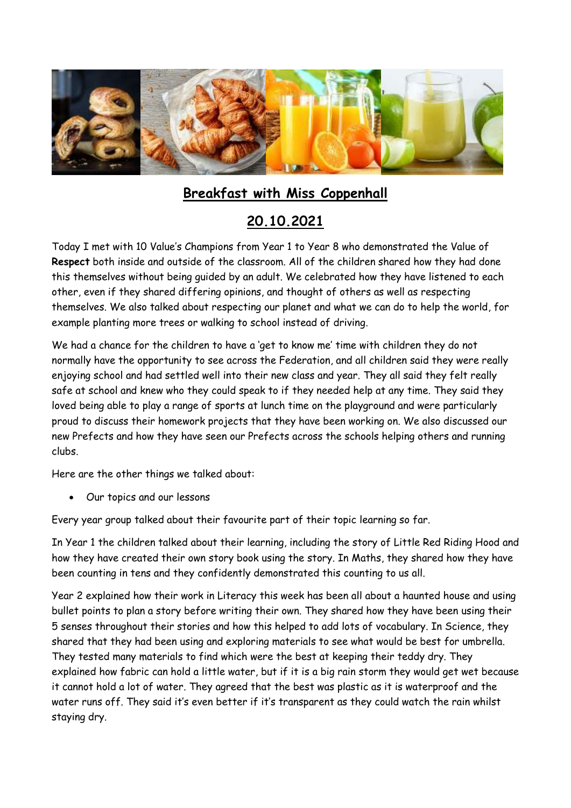

## **Breakfast with Miss Coppenhall**

## **20.10.2021**

Today I met with 10 Value's Champions from Year 1 to Year 8 who demonstrated the Value of **Respect** both inside and outside of the classroom. All of the children shared how they had done this themselves without being guided by an adult. We celebrated how they have listened to each other, even if they shared differing opinions, and thought of others as well as respecting themselves. We also talked about respecting our planet and what we can do to help the world, for example planting more trees or walking to school instead of driving.

We had a chance for the children to have a 'get to know me' time with children they do not normally have the opportunity to see across the Federation, and all children said they were really enjoying school and had settled well into their new class and year. They all said they felt really safe at school and knew who they could speak to if they needed help at any time. They said they loved being able to play a range of sports at lunch time on the playground and were particularly proud to discuss their homework projects that they have been working on. We also discussed our new Prefects and how they have seen our Prefects across the schools helping others and running clubs.

Here are the other things we talked about:

Our topics and our lessons

Every year group talked about their favourite part of their topic learning so far.

In Year 1 the children talked about their learning, including the story of Little Red Riding Hood and how they have created their own story book using the story. In Maths, they shared how they have been counting in tens and they confidently demonstrated this counting to us all.

Year 2 explained how their work in Literacy this week has been all about a haunted house and using bullet points to plan a story before writing their own. They shared how they have been using their 5 senses throughout their stories and how this helped to add lots of vocabulary. In Science, they shared that they had been using and exploring materials to see what would be best for umbrella. They tested many materials to find which were the best at keeping their teddy dry. They explained how fabric can hold a little water, but if it is a big rain storm they would get wet because it cannot hold a lot of water. They agreed that the best was plastic as it is waterproof and the water runs off. They said it's even better if it's transparent as they could watch the rain whilst staying dry.